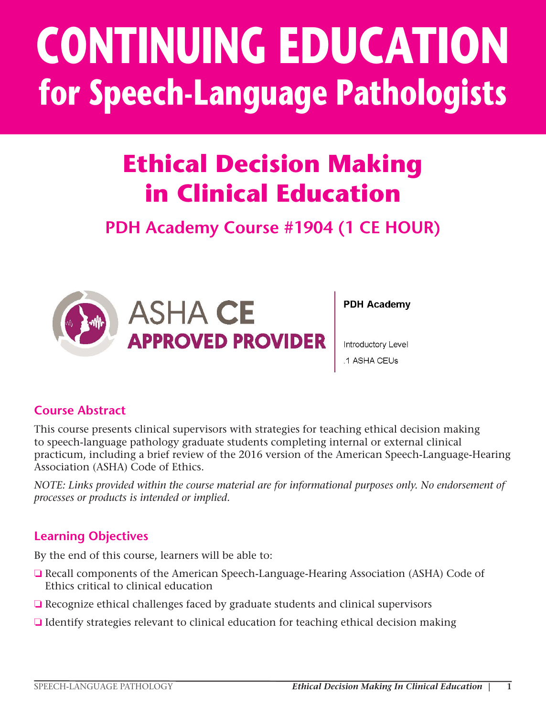# **CONTINUING EDUCATION for Speech-Language Pathologists**

# **Ethical Decision Making in Clinical Education**

### **PDH Academy Course #1904 (1 CE HOUR)**



**PDH Academy** 

Introductory Level .1 ASHA CEUs

### **Course Abstract**

This course presents clinical supervisors with strategies for teaching ethical decision making to speech-language pathology graduate students completing internal or external clinical practicum, including a brief review of the 2016 version of the American Speech-Language-Hearing Association (ASHA) Code of Ethics.

*NOTE: Links provided within the course material are for informational purposes only. No endorsement of processes or products is intended or implied.*

#### **Learning Objectives**

By the end of this course, learners will be able to:

- ❏ Recall components of the American Speech-Language-Hearing Association (ASHA) Code of Ethics critical to clinical education
- ❏ Recognize ethical challenges faced by graduate students and clinical supervisors
- ❏ Identify strategies relevant to clinical education for teaching ethical decision making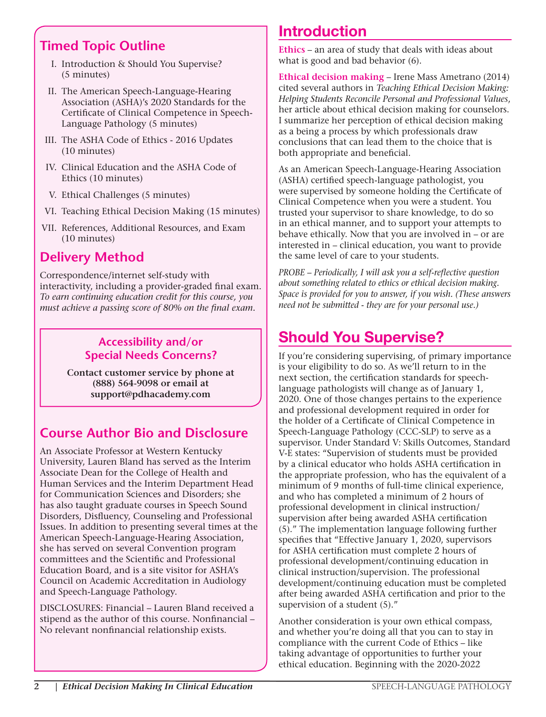### **Timed Topic Outline**

- I. Introduction & Should You Supervise? (5 minutes)
- II. The American Speech-Language-Hearing Association (ASHA)'s 2020 Standards for the Certificate of Clinical Competence in Speech-Language Pathology (5 minutes)
- III. The ASHA Code of Ethics 2016 Updates (10 minutes)
- IV. Clinical Education and the ASHA Code of Ethics (10 minutes)
- V. Ethical Challenges (5 minutes)
- VI. Teaching Ethical Decision Making (15 minutes)
- VII. References, Additional Resources, and Exam (10 minutes)

### **Delivery Method**

Correspondence/internet self-study with interactivity, including a provider-graded final exam. *To earn continuing education credit for this course, you must achieve a passing score of 80% on the final exam.*

#### **Accessibility and/or Special Needs Concerns?**

**Contact customer service by phone at (888) 564-9098 or email at support@pdhacademy.com**

### **Course Author Bio and Disclosure**

An Associate Professor at Western Kentucky University, Lauren Bland has served as the Interim Associate Dean for the College of Health and Human Services and the Interim Department Head for Communication Sciences and Disorders; she has also taught graduate courses in Speech Sound Disorders, Disfluency, Counseling and Professional Issues. In addition to presenting several times at the American Speech-Language-Hearing Association, she has served on several Convention program committees and the Scientific and Professional Education Board, and is a site visitor for ASHA's Council on Academic Accreditation in Audiology and Speech-Language Pathology.

DISCLOSURES: Financial – Lauren Bland received a stipend as the author of this course. Nonfinancial – No relevant nonfinancial relationship exists.

### Introduction

**Ethics** – an area of study that deals with ideas about what is good and bad behavior (6).

**Ethical decision making** – Irene Mass Ametrano (2014) cited several authors in *Teaching Ethical Decision Making: Helping Students Reconcile Personal and Professional Values*, her article about ethical decision making for counselors. I summarize her perception of ethical decision making as a being a process by which professionals draw conclusions that can lead them to the choice that is both appropriate and beneficial.

As an American Speech-Language-Hearing Association (ASHA) certified speech-language pathologist, you were supervised by someone holding the Certificate of Clinical Competence when you were a student. You trusted your supervisor to share knowledge, to do so in an ethical manner, and to support your attempts to behave ethically. Now that you are involved in – or are interested in – clinical education, you want to provide the same level of care to your students.

*PROBE – Periodically, I will ask you a self-reflective question about something related to ethics or ethical decision making. Space is provided for you to answer, if you wish. (These answers need not be submitted - they are for your personal use.)*

### Should You Supervise?

If you're considering supervising, of primary importance is your eligibility to do so. As we'll return to in the next section, the certification standards for speechlanguage pathologists will change as of January 1, 2020. One of those changes pertains to the experience and professional development required in order for the holder of a Certificate of Clinical Competence in Speech-Language Pathology (CCC-SLP) to serve as a supervisor. Under Standard V: Skills Outcomes, Standard V-E states: "Supervision of students must be provided by a clinical educator who holds ASHA certification in the appropriate profession, who has the equivalent of a minimum of 9 months of full-time clinical experience, and who has completed a minimum of 2 hours of professional development in clinical instruction/ supervision after being awarded ASHA certification (5)." The implementation language following further specifies that "Effective January 1, 2020, supervisors for ASHA certification must complete 2 hours of professional development/continuing education in clinical instruction/supervision. The professional development/continuing education must be completed after being awarded ASHA certification and prior to the supervision of a student (5)."

Another consideration is your own ethical compass, and whether you're doing all that you can to stay in compliance with the current Code of Ethics – like taking advantage of opportunities to further your ethical education. Beginning with the 2020-2022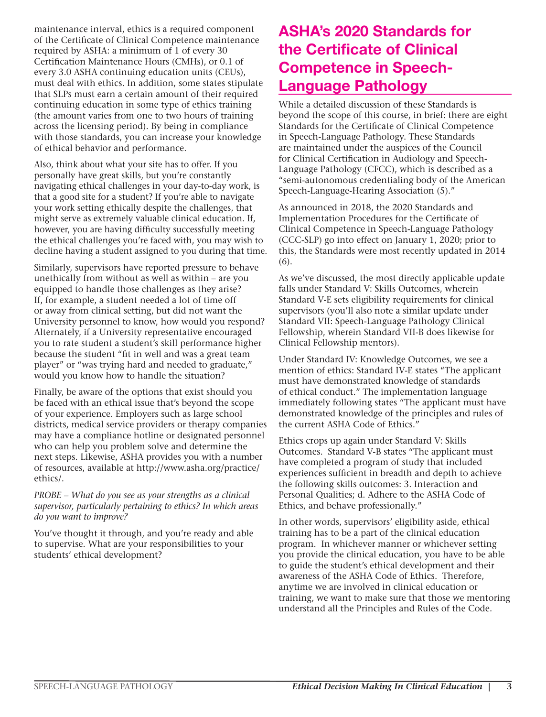maintenance interval, ethics is a required component of the Certificate of Clinical Competence maintenance required by ASHA: a minimum of 1 of every 30 Certification Maintenance Hours (CMHs), or 0.1 of every 3.0 ASHA continuing education units (CEUs), must deal with ethics. In addition, some states stipulate that SLPs must earn a certain amount of their required continuing education in some type of ethics training (the amount varies from one to two hours of training across the licensing period). By being in compliance with those standards, you can increase your knowledge of ethical behavior and performance.

Also, think about what your site has to offer. If you personally have great skills, but you're constantly navigating ethical challenges in your day-to-day work, is that a good site for a student? If you're able to navigate your work setting ethically despite the challenges, that might serve as extremely valuable clinical education. If, however, you are having difficulty successfully meeting the ethical challenges you're faced with, you may wish to decline having a student assigned to you during that time.

Similarly, supervisors have reported pressure to behave unethically from without as well as within – are you equipped to handle those challenges as they arise? If, for example, a student needed a lot of time off or away from clinical setting, but did not want the University personnel to know, how would you respond? Alternately, if a University representative encouraged you to rate student a student's skill performance higher because the student "fit in well and was a great team player" or "was trying hard and needed to graduate," would you know how to handle the situation?

Finally, be aware of the options that exist should you be faced with an ethical issue that's beyond the scope of your experience. Employers such as large school districts, medical service providers or therapy companies may have a compliance hotline or designated personnel who can help you problem solve and determine the next steps. Likewise, ASHA provides you with a number of resources, available at http://www.asha.org/practice/ ethics/.

*PROBE – What do you see as your strengths as a clinical supervisor, particularly pertaining to ethics? In which areas do you want to improve?*

You've thought it through, and you're ready and able to supervise. What are your responsibilities to your students' ethical development?

### ASHA's 2020 Standards for the Certificate of Clinical Competence in Speech-Language Pathology

While a detailed discussion of these Standards is beyond the scope of this course, in brief: there are eight Standards for the Certificate of Clinical Competence in Speech-Language Pathology. These Standards are maintained under the auspices of the Council for Clinical Certification in Audiology and Speech-Language Pathology (CFCC), which is described as a "semi-autonomous credentialing body of the American Speech-Language-Hearing Association (5)."

As announced in 2018, the 2020 Standards and Implementation Procedures for the Certificate of Clinical Competence in Speech-Language Pathology (CCC-SLP) go into effect on January 1, 2020; prior to this, the Standards were most recently updated in 2014 (6).

As we've discussed, the most directly applicable update falls under Standard V: Skills Outcomes, wherein Standard V-E sets eligibility requirements for clinical supervisors (you'll also note a similar update under Standard VII: Speech-Language Pathology Clinical Fellowship, wherein Standard VII-B does likewise for Clinical Fellowship mentors).

Under Standard IV: Knowledge Outcomes, we see a mention of ethics: Standard IV-E states "The applicant must have demonstrated knowledge of standards of ethical conduct." The implementation language immediately following states "The applicant must have demonstrated knowledge of the principles and rules of the current ASHA Code of Ethics."

Ethics crops up again under Standard V: Skills Outcomes. Standard V-B states "The applicant must have completed a program of study that included experiences sufficient in breadth and depth to achieve the following skills outcomes: 3. Interaction and Personal Qualities; d. Adhere to the ASHA Code of Ethics, and behave professionally."

In other words, supervisors' eligibility aside, ethical training has to be a part of the clinical education program. In whichever manner or whichever setting you provide the clinical education, you have to be able to guide the student's ethical development and their awareness of the ASHA Code of Ethics. Therefore, anytime we are involved in clinical education or training, we want to make sure that those we mentoring understand all the Principles and Rules of the Code.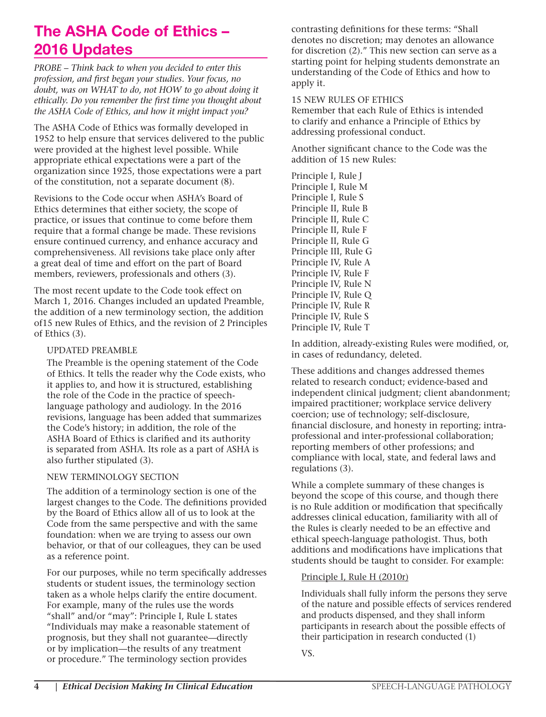### The ASHA Code of Ethics – 2016 Updates

*PROBE – Think back to when you decided to enter this profession, and first began your studies. Your focus, no doubt, was on WHAT to do, not HOW to go about doing it ethically. Do you remember the first time you thought about the ASHA Code of Ethics, and how it might impact you?*

The ASHA Code of Ethics was formally developed in 1952 to help ensure that services delivered to the public were provided at the highest level possible. While appropriate ethical expectations were a part of the organization since 1925, those expectations were a part of the constitution, not a separate document (8).

Revisions to the Code occur when ASHA's Board of Ethics determines that either society, the scope of practice, or issues that continue to come before them require that a formal change be made. These revisions ensure continued currency, and enhance accuracy and comprehensiveness. All revisions take place only after a great deal of time and effort on the part of Board members, reviewers, professionals and others (3).

The most recent update to the Code took effect on March 1, 2016. Changes included an updated Preamble, the addition of a new terminology section, the addition of15 new Rules of Ethics, and the revision of 2 Principles of Ethics (3).

#### UPDATED PREAMBLE

 The Preamble is the opening statement of the Code of Ethics. It tells the reader why the Code exists, who it applies to, and how it is structured, establishing the role of the Code in the practice of speechlanguage pathology and audiology. In the 2016 revisions, language has been added that summarizes the Code's history; in addition, the role of the ASHA Board of Ethics is clarified and its authority is separated from ASHA. Its role as a part of ASHA is also further stipulated (3).

#### NEW TERMINOLOGY SECTION

 The addition of a terminology section is one of the largest changes to the Code. The definitions provided by the Board of Ethics allow all of us to look at the Code from the same perspective and with the same foundation: when we are trying to assess our own behavior, or that of our colleagues, they can be used as a reference point.

 For our purposes, while no term specifically addresses students or student issues, the terminology section taken as a whole helps clarify the entire document. For example, many of the rules use the words "shall" and/or "may": Principle I, Rule L states "Individuals may make a reasonable statement of prognosis, but they shall not guarantee—directly or by implication—the results of any treatment or procedure." The terminology section provides

contrasting definitions for these terms: "Shall denotes no discretion; may denotes an allowance for discretion (2)." This new section can serve as a starting point for helping students demonstrate an understanding of the Code of Ethics and how to apply it.

#### 15 NEW RULES OF ETHICS

 Remember that each Rule of Ethics is intended to clarify and enhance a Principle of Ethics by addressing professional conduct.

 Another significant chance to the Code was the addition of 15 new Rules:

 Principle I, Rule J Principle I, Rule M Principle I, Rule S Principle II, Rule B Principle II, Rule C Principle II, Rule F Principle II, Rule G Principle III, Rule G Principle IV, Rule A Principle IV, Rule F Principle IV, Rule N Principle IV, Rule Q Principle IV, Rule R Principle IV, Rule S Principle IV, Rule T

 In addition, already-existing Rules were modified, or, in cases of redundancy, deleted.

 These additions and changes addressed themes related to research conduct; evidence-based and independent clinical judgment; client abandonment; impaired practitioner; workplace service delivery coercion; use of technology; self-disclosure, financial disclosure, and honesty in reporting; intraprofessional and inter-professional collaboration; reporting members of other professions; and compliance with local, state, and federal laws and regulations (3).

 While a complete summary of these changes is beyond the scope of this course, and though there is no Rule addition or modification that specifically addresses clinical education, familiarity with all of the Rules is clearly needed to be an effective and ethical speech-language pathologist. Thus, both additions and modifications have implications that students should be taught to consider. For example:

#### Principle I, Rule H (2010r)

 Individuals shall fully inform the persons they serve of the nature and possible effects of services rendered and products dispensed, and they shall inform participants in research about the possible effects of their participation in research conducted (1)

VS.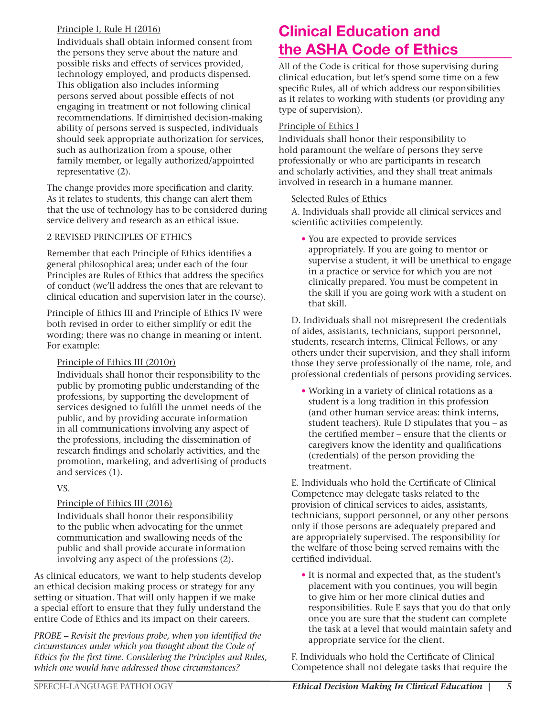#### Principle I, Rule H (2016)

 Individuals shall obtain informed consent from the persons they serve about the nature and possible risks and effects of services provided, technology employed, and products dispensed. This obligation also includes informing persons served about possible effects of not engaging in treatment or not following clinical recommendations. If diminished decision-making ability of persons served is suspected, individuals should seek appropriate authorization for services, such as authorization from a spouse, other family member, or legally authorized/appointed representative (2).

The change provides more specification and clarity. As it relates to students, this change can alert them that the use of technology has to be considered during service delivery and research as an ethical issue.

#### 2 REVISED PRINCIPLES OF ETHICS

Remember that each Principle of Ethics identifies a general philosophical area; under each of the four Principles are Rules of Ethics that address the specifics of conduct (we'll address the ones that are relevant to clinical education and supervision later in the course).

 Principle of Ethics III and Principle of Ethics IV were both revised in order to either simplify or edit the wording; there was no change in meaning or intent. For example:

#### Principle of Ethics III (2010r)

 Individuals shall honor their responsibility to the public by promoting public understanding of the professions, by supporting the development of services designed to fulfill the unmet needs of the public, and by providing accurate information in all communications involving any aspect of the professions, including the dissemination of research findings and scholarly activities, and the promotion, marketing, and advertising of products and services (1).

#### VS.

#### Principle of Ethics III (2016)

 Individuals shall honor their responsibility to the public when advocating for the unmet communication and swallowing needs of the public and shall provide accurate information involving any aspect of the professions (2).

As clinical educators, we want to help students develop an ethical decision making process or strategy for any setting or situation. That will only happen if we make a special effort to ensure that they fully understand the entire Code of Ethics and its impact on their careers.

*PROBE – Revisit the previous probe, when you identified the circumstances under which you thought about the Code of Ethics for the first time. Considering the Principles and Rules, which one would have addressed those circumstances?*

### Clinical Education and the ASHA Code of Ethics

All of the Code is critical for those supervising during clinical education, but let's spend some time on a few specific Rules, all of which address our responsibilities as it relates to working with students (or providing any type of supervision).

#### Principle of Ethics I

Individuals shall honor their responsibility to hold paramount the welfare of persons they serve professionally or who are participants in research and scholarly activities, and they shall treat animals involved in research in a humane manner.

#### Selected Rules of Ethics

 A. Individuals shall provide all clinical services and scientific activities competently.

 • You are expected to provide services appropriately. If you are going to mentor or supervise a student, it will be unethical to engage in a practice or service for which you are not clinically prepared. You must be competent in the skill if you are going work with a student on that skill.

 D. Individuals shall not misrepresent the credentials of aides, assistants, technicians, support personnel, students, research interns, Clinical Fellows, or any others under their supervision, and they shall inform those they serve professionally of the name, role, and professional credentials of persons providing services.

 • Working in a variety of clinical rotations as a student is a long tradition in this profession (and other human service areas: think interns, student teachers). Rule D stipulates that you – as the certified member – ensure that the clients or caregivers know the identity and qualifications (credentials) of the person providing the treatment.

 E. Individuals who hold the Certificate of Clinical Competence may delegate tasks related to the provision of clinical services to aides, assistants, technicians, support personnel, or any other persons only if those persons are adequately prepared and are appropriately supervised. The responsibility for the welfare of those being served remains with the certified individual.

 • It is normal and expected that, as the student's placement with you continues, you will begin to give him or her more clinical duties and responsibilities. Rule E says that you do that only once you are sure that the student can complete the task at a level that would maintain safety and appropriate service for the client.

 F. Individuals who hold the Certificate of Clinical Competence shall not delegate tasks that require the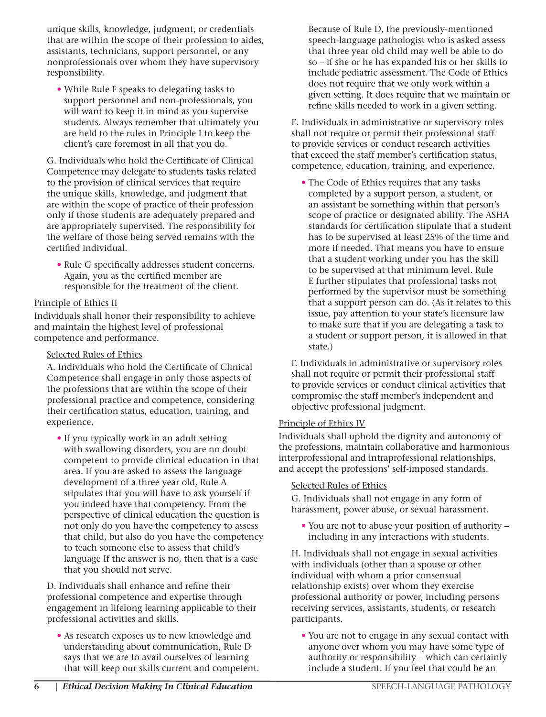unique skills, knowledge, judgment, or credentials that are within the scope of their profession to aides, assistants, technicians, support personnel, or any nonprofessionals over whom they have supervisory responsibility.

 • While Rule F speaks to delegating tasks to support personnel and non-professionals, you will want to keep it in mind as you supervise students. Always remember that ultimately you are held to the rules in Principle I to keep the client's care foremost in all that you do.

 G. Individuals who hold the Certificate of Clinical Competence may delegate to students tasks related to the provision of clinical services that require the unique skills, knowledge, and judgment that are within the scope of practice of their profession only if those students are adequately prepared and are appropriately supervised. The responsibility for the welfare of those being served remains with the certified individual.

 • Rule G specifically addresses student concerns. Again, you as the certified member are responsible for the treatment of the client.

#### Principle of Ethics II

Individuals shall honor their responsibility to achieve and maintain the highest level of professional competence and performance.

#### Selected Rules of Ethics

 A. Individuals who hold the Certificate of Clinical Competence shall engage in only those aspects of the professions that are within the scope of their professional practice and competence, considering their certification status, education, training, and experience.

 • If you typically work in an adult setting with swallowing disorders, you are no doubt competent to provide clinical education in that area. If you are asked to assess the language development of a three year old, Rule A stipulates that you will have to ask yourself if you indeed have that competency. From the perspective of clinical education the question is not only do you have the competency to assess that child, but also do you have the competency to teach someone else to assess that child's language If the answer is no, then that is a case that you should not serve.

 D. Individuals shall enhance and refine their professional competence and expertise through engagement in lifelong learning applicable to their professional activities and skills.

 • As research exposes us to new knowledge and understanding about communication, Rule D says that we are to avail ourselves of learning that will keep our skills current and competent. Because of Rule D, the previously-mentioned speech-language pathologist who is asked assess that three year old child may well be able to do so – if she or he has expanded his or her skills to include pediatric assessment. The Code of Ethics does not require that we only work within a given setting. It does require that we maintain or refine skills needed to work in a given setting.

 E. Individuals in administrative or supervisory roles shall not require or permit their professional staff to provide services or conduct research activities that exceed the staff member's certification status, competence, education, training, and experience.

 • The Code of Ethics requires that any tasks completed by a support person, a student, or an assistant be something within that person's scope of practice or designated ability. The ASHA standards for certification stipulate that a student has to be supervised at least 25% of the time and more if needed. That means you have to ensure that a student working under you has the skill to be supervised at that minimum level. Rule E further stipulates that professional tasks not performed by the supervisor must be something that a support person can do. (As it relates to this issue, pay attention to your state's licensure law to make sure that if you are delegating a task to a student or support person, it is allowed in that state.)

 F. Individuals in administrative or supervisory roles shall not require or permit their professional staff to provide services or conduct clinical activities that compromise the staff member's independent and objective professional judgment.

#### Principle of Ethics IV

Individuals shall uphold the dignity and autonomy of the professions, maintain collaborative and harmonious interprofessional and intraprofessional relationships, and accept the professions' self-imposed standards.

#### Selected Rules of Ethics

 G. Individuals shall not engage in any form of harassment, power abuse, or sexual harassment.

 • You are not to abuse your position of authority – including in any interactions with students.

 H. Individuals shall not engage in sexual activities with individuals (other than a spouse or other individual with whom a prior consensual relationship exists) over whom they exercise professional authority or power, including persons receiving services, assistants, students, or research participants.

 • You are not to engage in any sexual contact with anyone over whom you may have some type of authority or responsibility – which can certainly include a student. If you feel that could be an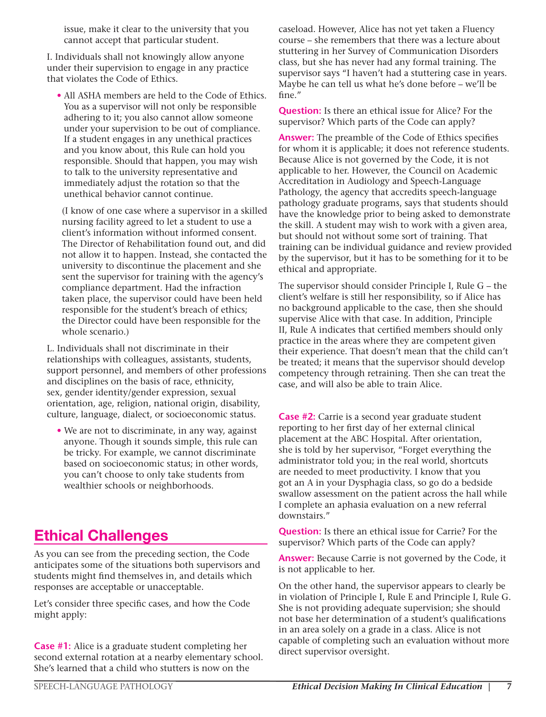issue, make it clear to the university that you cannot accept that particular student.

 I. Individuals shall not knowingly allow anyone under their supervision to engage in any practice that violates the Code of Ethics.

 • All ASHA members are held to the Code of Ethics. You as a supervisor will not only be responsible adhering to it; you also cannot allow someone under your supervision to be out of compliance. If a student engages in any unethical practices and you know about, this Rule can hold you responsible. Should that happen, you may wish to talk to the university representative and immediately adjust the rotation so that the unethical behavior cannot continue.

 (I know of one case where a supervisor in a skilled nursing facility agreed to let a student to use a client's information without informed consent. The Director of Rehabilitation found out, and did not allow it to happen. Instead, she contacted the university to discontinue the placement and she sent the supervisor for training with the agency's compliance department. Had the infraction taken place, the supervisor could have been held responsible for the student's breach of ethics; the Director could have been responsible for the whole scenario.)

 L. Individuals shall not discriminate in their relationships with colleagues, assistants, students, support personnel, and members of other professions and disciplines on the basis of race, ethnicity, sex, gender identity/gender expression, sexual orientation, age, religion, national origin, disability, culture, language, dialect, or socioeconomic status.

 • We are not to discriminate, in any way, against anyone. Though it sounds simple, this rule can be tricky. For example, we cannot discriminate based on socioeconomic status; in other words, you can't choose to only take students from wealthier schools or neighborhoods.

### Ethical Challenges

As you can see from the preceding section, the Code anticipates some of the situations both supervisors and students might find themselves in, and details which responses are acceptable or unacceptable.

Let's consider three specific cases, and how the Code might apply:

**Case #1:** Alice is a graduate student completing her second external rotation at a nearby elementary school. She's learned that a child who stutters is now on the

caseload. However, Alice has not yet taken a Fluency course – she remembers that there was a lecture about stuttering in her Survey of Communication Disorders class, but she has never had any formal training. The supervisor says "I haven't had a stuttering case in years. Maybe he can tell us what he's done before – we'll be fine."

**Question:** Is there an ethical issue for Alice? For the supervisor? Which parts of the Code can apply?

**Answer:** The preamble of the Code of Ethics specifies for whom it is applicable; it does not reference students. Because Alice is not governed by the Code, it is not applicable to her. However, the Council on Academic Accreditation in Audiology and Speech-Language Pathology, the agency that accredits speech-language pathology graduate programs, says that students should have the knowledge prior to being asked to demonstrate the skill. A student may wish to work with a given area, but should not without some sort of training. That training can be individual guidance and review provided by the supervisor, but it has to be something for it to be ethical and appropriate.

The supervisor should consider Principle I, Rule G – the client's welfare is still her responsibility, so if Alice has no background applicable to the case, then she should supervise Alice with that case. In addition, Principle II, Rule A indicates that certified members should only practice in the areas where they are competent given their experience. That doesn't mean that the child can't be treated; it means that the supervisor should develop competency through retraining. Then she can treat the case, and will also be able to train Alice.

**Case #2:** Carrie is a second year graduate student reporting to her first day of her external clinical placement at the ABC Hospital. After orientation, she is told by her supervisor, "Forget everything the administrator told you; in the real world, shortcuts are needed to meet productivity. I know that you got an A in your Dysphagia class, so go do a bedside swallow assessment on the patient across the hall while I complete an aphasia evaluation on a new referral downstairs."

**Question:** Is there an ethical issue for Carrie? For the supervisor? Which parts of the Code can apply?

**Answer:** Because Carrie is not governed by the Code, it is not applicable to her.

On the other hand, the supervisor appears to clearly be in violation of Principle I, Rule E and Principle I, Rule G. She is not providing adequate supervision; she should not base her determination of a student's qualifications in an area solely on a grade in a class. Alice is not capable of completing such an evaluation without more direct supervisor oversight.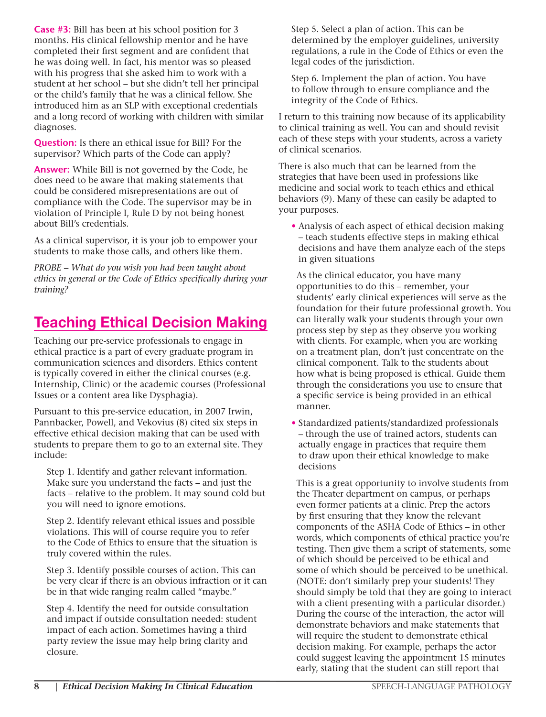**Case #3:** Bill has been at his school position for 3 months. His clinical fellowship mentor and he have completed their first segment and are confident that he was doing well. In fact, his mentor was so pleased with his progress that she asked him to work with a student at her school – but she didn't tell her principal or the child's family that he was a clinical fellow. She introduced him as an SLP with exceptional credentials and a long record of working with children with similar diagnoses.

**Question:** Is there an ethical issue for Bill? For the supervisor? Which parts of the Code can apply?

**Answer:** While Bill is not governed by the Code, he does need to be aware that making statements that could be considered misrepresentations are out of compliance with the Code. The supervisor may be in violation of Principle I, Rule D by not being honest about Bill's credentials.

As a clinical supervisor, it is your job to empower your students to make those calls, and others like them.

*PROBE – What do you wish you had been taught about ethics in general or the Code of Ethics specifically during your training?*

### Teaching Ethical Decision Making

Teaching our pre-service professionals to engage in ethical practice is a part of every graduate program in communication sciences and disorders. Ethics content is typically covered in either the clinical courses (e.g. Internship, Clinic) or the academic courses (Professional Issues or a content area like Dysphagia).

Pursuant to this pre-service education, in 2007 Irwin, Pannbacker, Powell, and Vekovius (8) cited six steps in effective ethical decision making that can be used with students to prepare them to go to an external site. They include:

 Step 1. Identify and gather relevant information. Make sure you understand the facts – and just the facts – relative to the problem. It may sound cold but you will need to ignore emotions.

 Step 2. Identify relevant ethical issues and possible violations. This will of course require you to refer to the Code of Ethics to ensure that the situation is truly covered within the rules.

 Step 3. Identify possible courses of action. This can be very clear if there is an obvious infraction or it can be in that wide ranging realm called "maybe."

 Step 4. Identify the need for outside consultation and impact if outside consultation needed: student impact of each action. Sometimes having a third party review the issue may help bring clarity and closure.

 Step 5. Select a plan of action. This can be determined by the employer guidelines, university regulations, a rule in the Code of Ethics or even the legal codes of the jurisdiction.

 Step 6. Implement the plan of action. You have to follow through to ensure compliance and the integrity of the Code of Ethics.

I return to this training now because of its applicability to clinical training as well. You can and should revisit each of these steps with your students, across a variety of clinical scenarios.

There is also much that can be learned from the strategies that have been used in professions like medicine and social work to teach ethics and ethical behaviors (9). Many of these can easily be adapted to your purposes.

• Analysis of each aspect of ethical decision making – teach students effective steps in making ethical decisions and have them analyze each of the steps in given situations

 As the clinical educator, you have many opportunities to do this – remember, your students' early clinical experiences will serve as the foundation for their future professional growth. You can literally walk your students through your own process step by step as they observe you working with clients. For example, when you are working on a treatment plan, don't just concentrate on the clinical component. Talk to the students about how what is being proposed is ethical. Guide them through the considerations you use to ensure that a specific service is being provided in an ethical manner.

• Standardized patients/standardized professionals – through the use of trained actors, students can actually engage in practices that require them to draw upon their ethical knowledge to make decisions

 This is a great opportunity to involve students from the Theater department on campus, or perhaps even former patients at a clinic. Prep the actors by first ensuring that they know the relevant components of the ASHA Code of Ethics – in other words, which components of ethical practice you're testing. Then give them a script of statements, some of which should be perceived to be ethical and some of which should be perceived to be unethical. (NOTE: don't similarly prep your students! They should simply be told that they are going to interact with a client presenting with a particular disorder.) During the course of the interaction, the actor will demonstrate behaviors and make statements that will require the student to demonstrate ethical decision making. For example, perhaps the actor could suggest leaving the appointment 15 minutes early, stating that the student can still report that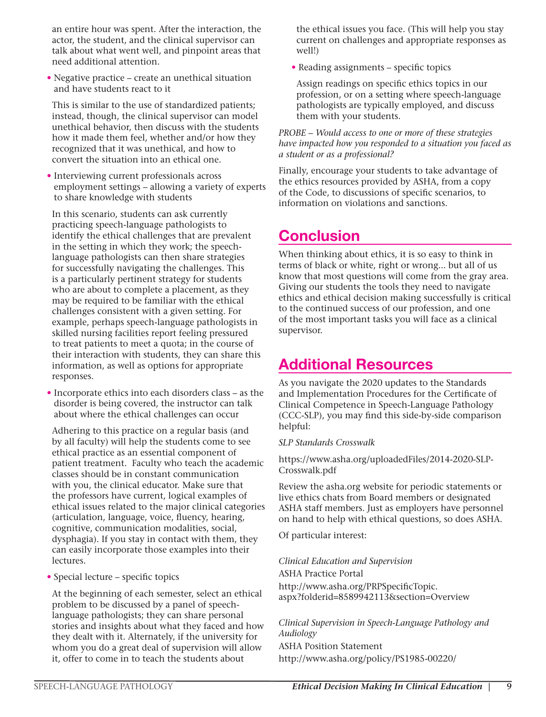an entire hour was spent. After the interaction, the actor, the student, and the clinical supervisor can talk about what went well, and pinpoint areas that need additional attention.

• Negative practice – create an unethical situation and have students react to it

 This is similar to the use of standardized patients; instead, though, the clinical supervisor can model unethical behavior, then discuss with the students how it made them feel, whether and/or how they recognized that it was unethical, and how to convert the situation into an ethical one.

• Interviewing current professionals across employment settings – allowing a variety of experts to share knowledge with students

 In this scenario, students can ask currently practicing speech-language pathologists to identify the ethical challenges that are prevalent in the setting in which they work; the speechlanguage pathologists can then share strategies for successfully navigating the challenges. This is a particularly pertinent strategy for students who are about to complete a placement, as they may be required to be familiar with the ethical challenges consistent with a given setting. For example, perhaps speech-language pathologists in skilled nursing facilities report feeling pressured to treat patients to meet a quota; in the course of their interaction with students, they can share this information, as well as options for appropriate responses.

• Incorporate ethics into each disorders class – as the disorder is being covered, the instructor can talk about where the ethical challenges can occur

 Adhering to this practice on a regular basis (and by all faculty) will help the students come to see ethical practice as an essential component of patient treatment. Faculty who teach the academic classes should be in constant communication with you, the clinical educator. Make sure that the professors have current, logical examples of ethical issues related to the major clinical categories (articulation, language, voice, fluency, hearing, cognitive, communication modalities, social, dysphagia). If you stay in contact with them, they can easily incorporate those examples into their lectures.

• Special lecture – specific topics

 At the beginning of each semester, select an ethical problem to be discussed by a panel of speechlanguage pathologists; they can share personal stories and insights about what they faced and how they dealt with it. Alternately, if the university for whom you do a great deal of supervision will allow it, offer to come in to teach the students about

the ethical issues you face. (This will help you stay current on challenges and appropriate responses as well!)

• Reading assignments – specific topics

 Assign readings on specific ethics topics in our profession, or on a setting where speech-language pathologists are typically employed, and discuss them with your students.

#### *PROBE – Would access to one or more of these strategies have impacted how you responded to a situation you faced as a student or as a professional?*

Finally, encourage your students to take advantage of the ethics resources provided by ASHA, from a copy of the Code, to discussions of specific scenarios, to information on violations and sanctions.

### **Conclusion**

When thinking about ethics, it is so easy to think in terms of black or white, right or wrong... but all of us know that most questions will come from the gray area. Giving our students the tools they need to navigate ethics and ethical decision making successfully is critical to the continued success of our profession, and one of the most important tasks you will face as a clinical supervisor.

### Additional Resources

As you navigate the 2020 updates to the Standards and Implementation Procedures for the Certificate of Clinical Competence in Speech-Language Pathology (CCC-SLP), you may find this side-by-side comparison helpful:

#### *SLP Standards Crosswalk*

https://www.asha.org/uploadedFiles/2014-2020-SLP-Crosswalk.pdf

Review the asha.org website for periodic statements or live ethics chats from Board members or designated ASHA staff members. Just as employers have personnel on hand to help with ethical questions, so does ASHA.

Of particular interest:

#### *Clinical Education and Supervision*

ASHA Practice Portal

http://www.asha.org/PRPSpecificTopic. aspx?folderid=8589942113&section=Overview

*Clinical Supervision in Speech-Language Pathology and Audiology* ASHA Position Statement http://www.asha.org/policy/PS1985-00220/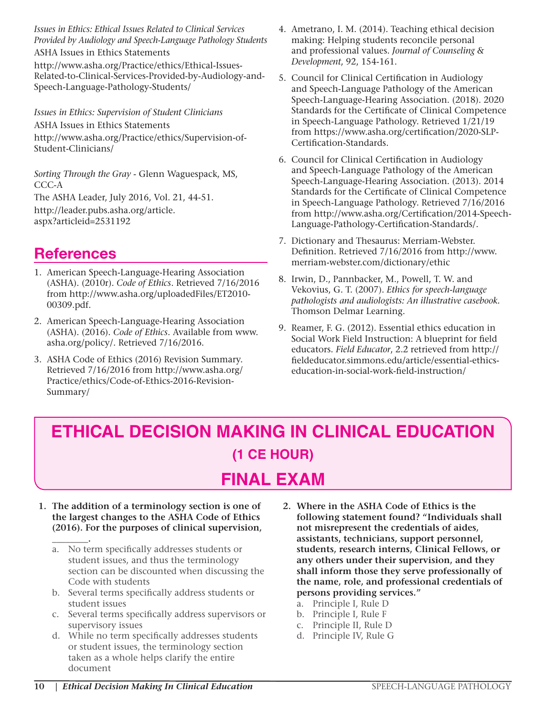*Issues in Ethics: Ethical Issues Related to Clinical Services Provided by Audiology and Speech-Language Pathology Students* ASHA Issues in Ethics Statements

http://www.asha.org/Practice/ethics/Ethical-Issues-Related-to-Clinical-Services-Provided-by-Audiology-and-Speech-Language-Pathology-Students/

*Issues in Ethics: Supervision of Student Clinicians*

ASHA Issues in Ethics Statements http://www.asha.org/Practice/ethics/Supervision-of-Student-Clinicians/

*Sorting Through the Gray* - Glenn Waguespack, MS, CCC-A

The ASHA Leader, July 2016, Vol. 21, 44-51. http://leader.pubs.asha.org/article. aspx?articleid=2531192

### References

- 1. American Speech-Language-Hearing Association (ASHA). (2010r). *Code of Ethics*. Retrieved 7/16/2016 from http://www.asha.org/uploadedFiles/ET2010- 00309.pdf.
- 2. American Speech-Language-Hearing Association (ASHA). (2016). *Code of Ethics*. Available from www. asha.org/policy/. Retrieved 7/16/2016.
- 3. ASHA Code of Ethics (2016) Revision Summary. Retrieved 7/16/2016 from http://www.asha.org/ Practice/ethics/Code-of-Ethics-2016-Revision-Summary/
- 4. Ametrano, I. M. (2014). Teaching ethical decision making: Helping students reconcile personal and professional values. *Journal of Counseling & Development*, 92, 154-161.
- 5. Council for Clinical Certification in Audiology and Speech-Language Pathology of the American Speech-Language-Hearing Association. (2018). 2020 Standards for the Certificate of Clinical Competence in Speech-Language Pathology. Retrieved 1/21/19 from https://www.asha.org/certification/2020-SLP-Certification-Standards.
- 6. Council for Clinical Certification in Audiology and Speech-Language Pathology of the American Speech-Language-Hearing Association. (2013). 2014 Standards for the Certificate of Clinical Competence in Speech-Language Pathology. Retrieved 7/16/2016 from http://www.asha.org/Certification/2014-Speech-Language-Pathology-Certification-Standards/.
- 7. Dictionary and Thesaurus: Merriam-Webster. Definition. Retrieved 7/16/2016 from http://www. merriam-webster.com/dictionary/ethic
- 8. Irwin, D., Pannbacker, M., Powell, T. W. and Vekovius, G. T. (2007). *Ethics for speech-language pathologists and audiologists: An illustrative casebook.* Thomson Delmar Learning.
- 9. Reamer, F. G. (2012). Essential ethics education in Social Work Field Instruction: A blueprint for field educators. *Field Educator*, 2.2 retrieved from http:// fieldeducator.simmons.edu/article/essential-ethicseducation-in-social-work-field-instruction/

## **ETHICAL DECISION MAKING IN CLINICAL EDUCATION (1 CE HOUR) FINAL EXAM**

- **1. The addition of a terminology section is one of the largest changes to the ASHA Code of Ethics (2016). For the purposes of clinical supervision,** 
	- **\_\_\_\_\_\_\_\_.** a. No term specifically addresses students or student issues, and thus the terminology section can be discounted when discussing the Code with students
	- b. Several terms specifically address students or student issues
	- c. Several terms specifically address supervisors or supervisory issues
	- d. While no term specifically addresses students or student issues, the terminology section taken as a whole helps clarify the entire document
- **2. Where in the ASHA Code of Ethics is the following statement found? "Individuals shall not misrepresent the credentials of aides, assistants, technicians, support personnel, students, research interns, Clinical Fellows, or any others under their supervision, and they shall inform those they serve professionally of the name, role, and professional credentials of persons providing services."**
	- a. Principle I, Rule D
	- b. Principle I, Rule F
	- c. Principle II, Rule D
	- d. Principle IV, Rule G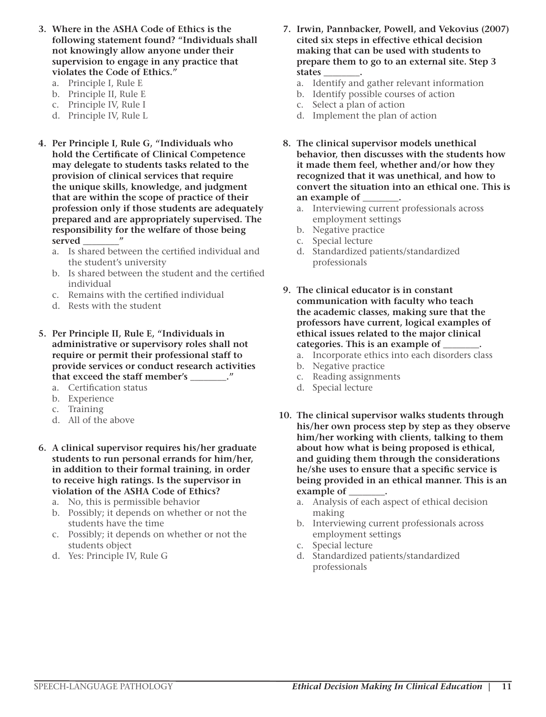- **3. Where in the ASHA Code of Ethics is the following statement found? "Individuals shall not knowingly allow anyone under their supervision to engage in any practice that violates the Code of Ethics."**
	- a. Principle I, Rule E
	- b. Principle II, Rule E
	- c. Principle IV, Rule I
	- d. Principle IV, Rule L
- **4. Per Principle I, Rule G, "Individuals who hold the Certificate of Clinical Competence may delegate to students tasks related to the provision of clinical services that require the unique skills, knowledge, and judgment that are within the scope of practice of their profession only if those students are adequately prepared and are appropriately supervised. The responsibility for the welfare of those being served \_\_\_\_\_\_\_\_"**
	- a. Is shared between the certified individual and the student's university
	- b. Is shared between the student and the certified individual
	- c. Remains with the certified individual
	- d. Rests with the student
- **5. Per Principle II, Rule E, "Individuals in administrative or supervisory roles shall not require or permit their professional staff to provide services or conduct research activities that exceed the staff member's \_\_\_\_\_\_\_\_."**
	- a. Certification status
	- b. Experience
	- c. Training
	- d. All of the above
- **6. A clinical supervisor requires his/her graduate students to run personal errands for him/her, in addition to their formal training, in order to receive high ratings. Is the supervisor in violation of the ASHA Code of Ethics?**
	- a. No, this is permissible behavior
	- b. Possibly; it depends on whether or not the students have the time
	- c. Possibly; it depends on whether or not the students object
	- d. Yes: Principle IV, Rule G
- **7. Irwin, Pannbacker, Powell, and Vekovius (2007) cited six steps in effective ethical decision making that can be used with students to prepare them to go to an external site. Step 3 states \_\_\_\_\_\_\_\_.**
	- a. Identify and gather relevant information
	- b. Identify possible courses of action
	- c. Select a plan of action
	- d. Implement the plan of action
- **8. The clinical supervisor models unethical behavior, then discusses with the students how it made them feel, whether and/or how they recognized that it was unethical, and how to convert the situation into an ethical one. This is an example of \_\_\_\_\_\_\_\_.**
	- a. Interviewing current professionals across employment settings
	- b. Negative practice
	- c. Special lecture
	- d. Standardized patients/standardized professionals
- **9. The clinical educator is in constant communication with faculty who teach the academic classes, making sure that the professors have current, logical examples of ethical issues related to the major clinical categories. This is an example of \_\_\_\_\_\_\_\_.**
	- a. Incorporate ethics into each disorders class
	- b. Negative practice
	- c. Reading assignments
	- d. Special lecture
- **10. The clinical supervisor walks students through his/her own process step by step as they observe him/her working with clients, talking to them about how what is being proposed is ethical, and guiding them through the considerations he/she uses to ensure that a specific service is being provided in an ethical manner. This is an example of \_\_\_\_\_\_\_\_.**
	- a. Analysis of each aspect of ethical decision making
	- b. Interviewing current professionals across employment settings
	- c. Special lecture
	- d. Standardized patients/standardized professionals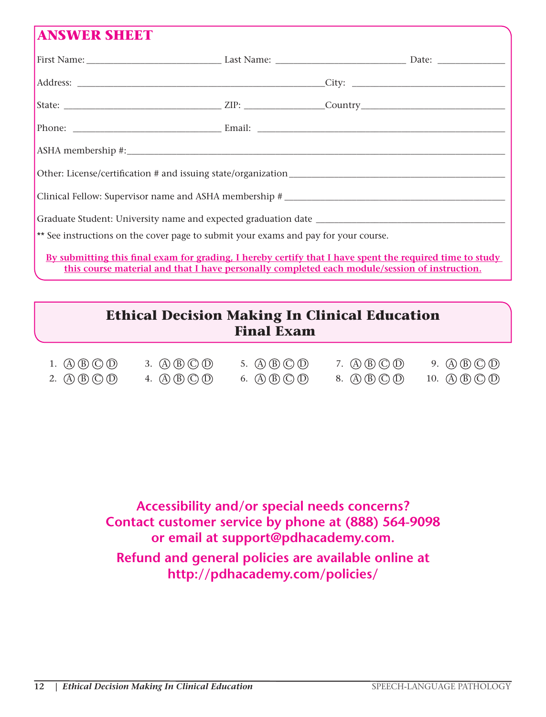### **ANSWER SHEET**

| ** See instructions on the cover page to submit your exams and pay for your course.                      |  |  |  |  |  |  |
|----------------------------------------------------------------------------------------------------------|--|--|--|--|--|--|
| By submitting this final exam for grading, I hereby certify that I have spent the required time to study |  |  |  |  |  |  |

**this course material and that I have personally completed each module/session of instruction.**

### **Ethical Decision Making In Clinical Education Final Exam**

| 1. $\mathbb{A}(\mathbb{B}(\mathbb{C})\mathbb{O})$     | 3. $\mathbb{A}\mathbb{B}\mathbb{C}\mathbb{D}$    | 5. $\mathbb{A}\mathbb{B}\mathbb{C}\mathbb{D}$ | 7. $\mathbb{A}(\mathbb{B})\mathbb{C}(\mathbb{D})$ | 9. $\mathbb{A}\mathbb{B}\mathbb{C}\mathbb{D}$  |
|-------------------------------------------------------|--------------------------------------------------|-----------------------------------------------|---------------------------------------------------|------------------------------------------------|
| 2. $\mathbb{(A)}\mathbb{(B)}\mathbb{(C)}\mathbb{(D)}$ | 4. $\mathbb{A} \mathbb{B} \mathbb{C} \mathbb{D}$ | 6. $\mathbb{A}\mathbb{B}\mathbb{C}\mathbb{D}$ | 8. $\mathbb{A}\mathbb{B}\mathbb{C}\mathbb{D}$     | 10. $\mathbb{A}\mathbb{B}\mathbb{C}\mathbb{D}$ |

**Accessibility and/or special needs concerns? Contact customer service by phone at (888) 564-9098 or email at support@pdhacademy.com. Refund and general policies are available online at http://pdhacademy.com/policies/**